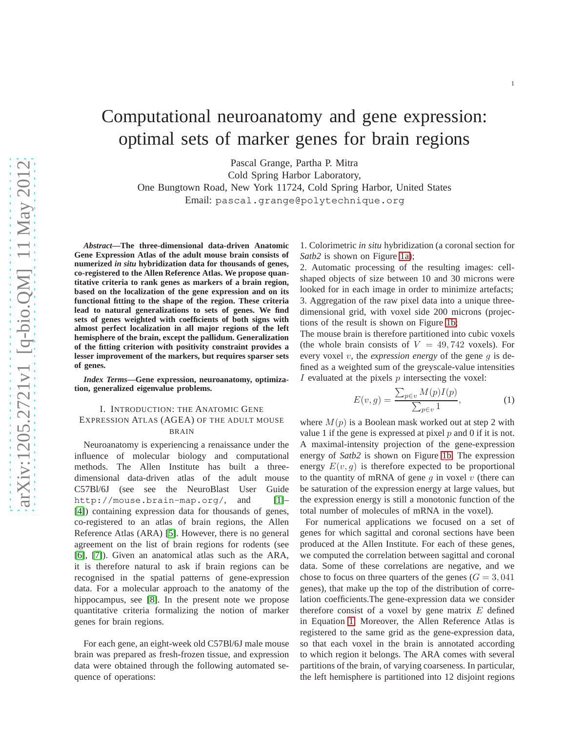# Computational neuroanatomy and gene expression: optimal sets of marker genes for brain regions

Pascal Grange, Partha P. Mitra

Cold Spring Harbor Laboratory,

One Bungtown Road, New York 11724, Cold Spring Harbor, United States Email: pascal.grange@polytechnique.org

*Abstract***—The three-dimensional data-driven Anatomic Gene Expression Atlas of the adult mouse brain consists of numerized** *in situ* **hybridization data for thousands of genes, co-registered to the Allen Reference Atlas. We propose quantitative criteria to rank genes as markers of a brain region, based on the localization of the gene expression and on its functional fitting to the shape of the region. These criteria lead to natural generalizations to sets of genes. We find sets of genes weighted with coefficients of both signs with almost perfect localization in all major regions of the left hemisphere of the brain, except the pallidum. Generalization of the fitting criterion with positivity constraint provides a lesser improvement of the markers, but requires sparser sets of genes.**

*Index Terms***—Gene expression, neuroanatomy, optimization, generalized eigenvalue problems.**

# I. INTRODUCTION: THE ANATOMIC GENE EXPRESSION ATLAS (AGEA) OF THE ADULT MOUSE BRAIN

Neuroanatomy is experiencing a renaissance under the influence of molecular biology and computational methods. The Allen Institute has built a threedimensional data-driven atlas of the adult mouse C57Bl/6J (see see the NeuroBlast User Guide http://mouse.brain-map.org/, and [\[1\]](#page-5-0)-[\[4\]](#page-5-1)) containing expression data for thousands of genes, co-registered to an atlas of brain regions, the Allen Reference Atlas (ARA) [\[5\]](#page-5-2). However, there is no general agreement on the list of brain regions for rodents (see [\[6\]](#page-5-3), [\[7\]](#page-5-4)). Given an anatomical atlas such as the ARA, it is therefore natural to ask if brain regions can be recognised in the spatial patterns of gene-expression data. For a molecular approach to the anatomy of the hippocampus, see [\[8\]](#page-5-5). In the present note we propose quantitative criteria formalizing the notion of marker genes for brain regions.

For each gene, an eight-week old C57Bl/6J male mouse brain was prepared as fresh-frozen tissue, and expression data were obtained through the following automated sequence of operations:

1. Colorimetric *in situ* hybridization (a coronal section for *Satb2* is shown on Figure [1a\)](#page-1-0);

2. Automatic processing of the resulting images: cellshaped objects of size between 10 and 30 microns were looked for in each image in order to minimize artefacts; 3. Aggregation of the raw pixel data into a unique threedimensional grid, with voxel side 200 microns (projections of the result is shown on Figure [1b;](#page-1-1)

The mouse brain is therefore partitioned into cubic voxels (the whole brain consists of  $V = 49,742$  voxels). For every voxel v, the *expression energy* of the gene g is defined as a weighted sum of the greyscale-value intensities I evaluated at the pixels p intersecting the voxel:

<span id="page-0-0"></span>
$$
E(v,g) = \frac{\sum_{p \in v} M(p)I(p)}{\sum_{p \in v} 1},
$$
 (1)

where  $M(p)$  is a Boolean mask worked out at step 2 with value 1 if the gene is expressed at pixel  $p$  and 0 if it is not. A maximal-intensity projection of the gene-expression energy of *Satb2* is shown on Figure [1b.](#page-1-1) The expression energy  $E(v, q)$  is therefore expected to be proportional to the quantity of mRNA of gene  $q$  in voxel  $v$  (there can be saturation of the expression energy at large values, but the expression energy is still a monotonic function of the total number of molecules of mRNA in the voxel).

For numerical applications we focused on a set of genes for which sagittal and coronal sections have been produced at the Allen Institute. For each of these genes, we computed the correlation between sagittal and coronal data. Some of these correlations are negative, and we chose to focus on three quarters of the genes  $(G = 3, 041)$ genes), that make up the top of the distribution of correlation coefficients.The gene-expression data we consider therefore consist of a voxel by gene matrix  $E$  defined in Equation [1.](#page-0-0) Moreover, the Allen Reference Atlas is registered to the same grid as the gene-expression data, so that each voxel in the brain is annotated according to which region it belongs. The ARA comes with several partitions of the brain, of varying coarseness. In particular, the left hemisphere is partitioned into 12 disjoint regions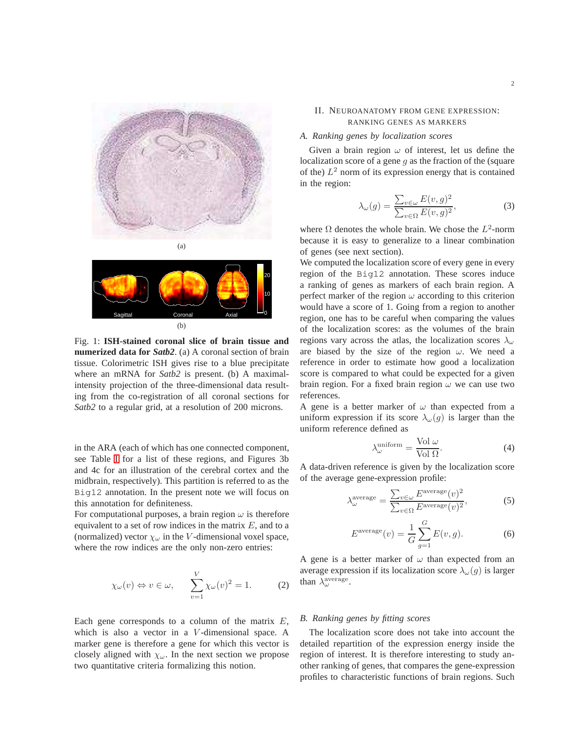<span id="page-1-2"></span><span id="page-1-0"></span>

<span id="page-1-1"></span>

Fig. 1: **ISH-stained coronal slice of brain tissue and numerized data for** *Satb2*. (a) A coronal section of brain tissue. Colorimetric ISH gives rise to a blue precipitate where an mRNA for *Satb2* is present. (b) A maximalintensity projection of the three-dimensional data resulting from the co-registration of all coronal sections for *Satb2* to a regular grid, at a resolution of 200 microns.

in the ARA (each of which has one connected component, see Table [I](#page-2-0) for a list of these regions, and Figures 3b and 4c for an illustration of the cerebral cortex and the midbrain, respectively). This partition is referred to as the Big12 annotation. In the present note we will focus on this annotation for definiteness.

For computational purposes, a brain region  $\omega$  is therefore equivalent to a set of row indices in the matrix  $E$ , and to a (normalized) vector  $\chi_{\omega}$  in the V-dimensional voxel space, where the row indices are the only non-zero entries:

$$
\chi_{\omega}(v) \Leftrightarrow v \in \omega, \qquad \sum_{v=1}^{V} \chi_{\omega}(v)^2 = 1.
$$
 (2)

Each gene corresponds to a column of the matrix  $E$ , which is also a vector in a V-dimensional space. A marker gene is therefore a gene for which this vector is closely aligned with  $\chi_{\omega}$ . In the next section we propose two quantitative criteria formalizing this notion.

## II. NEUROANATOMY FROM GENE EXPRESSION: RANKING GENES AS MARKERS

#### *A. Ranking genes by localization scores*

Given a brain region  $\omega$  of interest, let us define the localization score of a gene  $q$  as the fraction of the (square of the)  $L^2$  norm of its expression energy that is contained in the region:

$$
\lambda_{\omega}(g) = \frac{\sum_{v \in \omega} E(v, g)^2}{\sum_{v \in \Omega} E(v, g)^2},\tag{3}
$$

where  $\Omega$  denotes the whole brain. We chose the  $L^2$ -norm because it is easy to generalize to a linear combination of genes (see next section).

We computed the localization score of every gene in every region of the Big12 annotation. These scores induce a ranking of genes as markers of each brain region. A perfect marker of the region  $\omega$  according to this criterion would have a score of 1. Going from a region to another region, one has to be careful when comparing the values of the localization scores: as the volumes of the brain regions vary across the atlas, the localization scores  $\lambda_{\omega}$ are biased by the size of the region  $\omega$ . We need a reference in order to estimate how good a localization score is compared to what could be expected for a given brain region. For a fixed brain region  $\omega$  we can use two references.

A gene is a better marker of  $\omega$  than expected from a uniform expression if its score  $\lambda_{\omega}(q)$  is larger than the uniform reference defined as

$$
\lambda_{\omega}^{\text{uniform}} = \frac{\text{Vol }\omega}{\text{Vol }\Omega}.\tag{4}
$$

A data-driven reference is given by the localization score of the average gene-expression profile:

$$
\lambda_{\omega}^{\text{average}} = \frac{\sum_{v \in \omega} E^{\text{average}}(v)^2}{\sum_{v \in \Omega} E^{\text{average}}(v)^2},\tag{5}
$$

$$
E^{\text{average}}(v) = \frac{1}{G} \sum_{g=1}^{G} E(v, g). \tag{6}
$$

A gene is a better marker of  $\omega$  than expected from an average expression if its localization score  $\lambda_{\omega}(g)$  is larger than  $\lambda_{\omega}^{\text{average}}$ .

### *B. Ranking genes by fitting scores*

The localization score does not take into account the detailed repartition of the expression energy inside the region of interest. It is therefore interesting to study another ranking of genes, that compares the gene-expression profiles to characteristic functions of brain regions. Such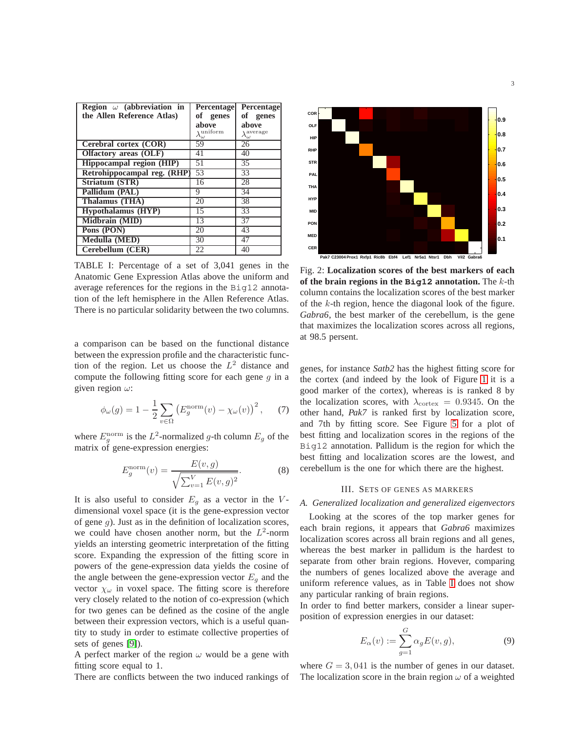<span id="page-2-0"></span>

| Region $\omega$ (abbreviation in | <b>Percentage</b>                | Percentage                     |
|----------------------------------|----------------------------------|--------------------------------|
| the Allen Reference Atlas)       | оf<br>genes                      | of genes                       |
|                                  | above                            | above                          |
|                                  | $\lambda^{\rm uniform}_{\omega}$ | $\lambda_\omega^{\rm average}$ |
| Cerebral cortex (COR)            | 59                               | 26                             |
| Olfactory areas (OLF)            | 41                               | 40                             |
| Hippocampal region (HIP)         | 51                               | 35                             |
| Retrohippocampal reg. (RHP)      | 53                               | 33                             |
| Striatum (STR)                   | 16                               | 28                             |
| Pallidum (PAL)                   | 9                                | 34                             |
| Thalamus (THA)                   | 20                               | 38                             |
| <b>Hypothalamus</b> (HYP)        | 15                               | 33                             |
| Midbrain (MID)                   | 13                               | $\overline{37}$                |
| Pons (PON)                       | 20                               | 43                             |
| Medulla (MED)                    | 30                               | 47                             |
| Cerebellum (CER)                 | 22                               | 40                             |

TABLE I: Percentage of a set of 3,041 genes in the Anatomic Gene Expression Atlas above the uniform and average references for the regions in the Big12 annotation of the left hemisphere in the Allen Reference Atlas. There is no particular solidarity between the two columns.

a comparison can be based on the functional distance between the expression profile and the characteristic function of the region. Let us choose the  $L^2$  distance and compute the following fitting score for each gene  $q$  in a given region  $\omega$ :

$$
\phi_{\omega}(g) = 1 - \frac{1}{2} \sum_{v \in \Omega} \left( E_g^{\text{norm}}(v) - \chi_{\omega}(v) \right)^2, \quad (7)
$$

where  $E_g^{\text{norm}}$  is the  $L^2$ -normalized g-th column  $E_g$  of the matrix of gene-expression energies:

$$
E_g^{\text{norm}}(v) = \frac{E(v, g)}{\sqrt{\sum_{v=1}^{V} E(v, g)^2}}.
$$
 (8)

It is also useful to consider  $E_q$  as a vector in the Vdimensional voxel space (it is the gene-expression vector of gene  $g$ ). Just as in the definition of localization scores, we could have chosen another norm, but the  $L^2$ -norm yields an intersting geometric interpretation of the fitting score. Expanding the expression of the fitting score in powers of the gene-expression data yields the cosine of the angle between the gene-expression vector  $E<sub>q</sub>$  and the vector  $\chi_{\omega}$  in voxel space. The fitting score is therefore very closely related to the notion of co-expression (which for two genes can be defined as the cosine of the angle between their expression vectors, which is a useful quantity to study in order to estimate collective properties of sets of genes [\[9\]](#page-5-6)).

A perfect marker of the region  $\omega$  would be a gene with fitting score equal to 1.

There are conflicts between the two induced rankings of



Fig. 2: **Localization scores of the best markers of each of the brain regions in the Big12 annotation.** The k-th column contains the localization scores of the best marker of the k-th region, hence the diagonal look of the figure. *Gabra6*, the best marker of the cerebellum, is the gene that maximizes the localization scores across all regions, at 98.5 persent.

genes, for instance *Satb2* has the highest fitting score for the cortex (and indeed by the look of Figure [1](#page-1-2) it is a good marker of the cortex), whereas is is ranked 8 by the localization scores, with  $\lambda_{\text{cortex}} = 0.9345$ . On the other hand, *Pak7* is ranked first by localization score, and 7th by fitting score. See Figure [5](#page-4-0) for a plot of best fitting and localization scores in the regions of the Big12 annotation. Pallidum is the region for which the best fitting and localization scores are the lowest, and cerebellum is the one for which there are the highest.

#### III. SETS OF GENES AS MARKERS

### *A. Generalized localization and generalized eigenvectors*

Looking at the scores of the top marker genes for each brain regions, it appears that *Gabra6* maximizes localization scores across all brain regions and all genes, whereas the best marker in pallidum is the hardest to separate from other brain regions. Hovever, comparing the numbers of genes localized above the average and uniform reference values, as in Table [I](#page-2-0) does not show any particular ranking of brain regions.

In order to find better markers, consider a linear superposition of expression energies in our dataset:

<span id="page-2-1"></span>
$$
E_{\alpha}(v) := \sum_{g=1}^{G} \alpha_g E(v, g), \tag{9}
$$

where  $G = 3,041$  is the number of genes in our dataset. The localization score in the brain region  $\omega$  of a weighted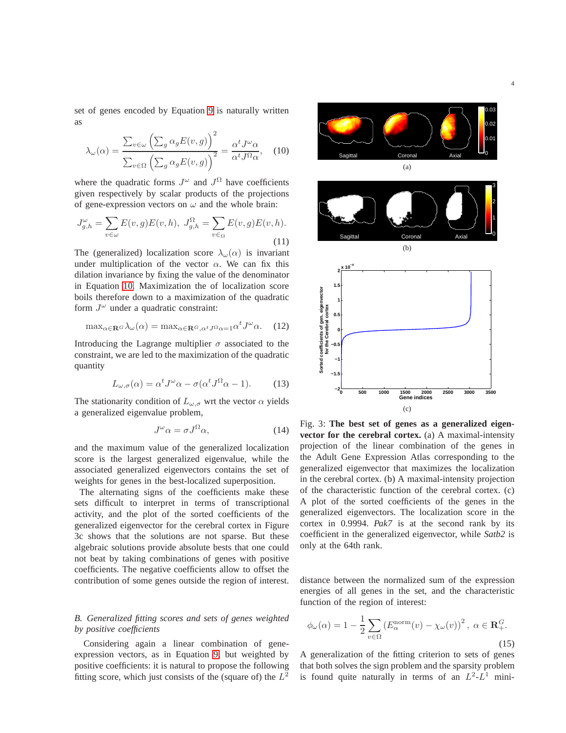set of genes encoded by Equation [9](#page-2-1) is naturally written as

<span id="page-3-0"></span>
$$
\lambda_{\omega}(\alpha) = \frac{\sum_{v \in \omega} (\sum_{g} \alpha_{g} E(v, g))^{2}}{\sum_{v \in \Omega} (\sum_{g} \alpha_{g} E(v, g))^{2}} = \frac{\alpha^{t} J^{\omega} \alpha}{\alpha^{t} J^{\Omega} \alpha}, \quad (10)
$$

where the quadratic forms  $J^{\omega}$  and  $J^{\Omega}$  have coefficients given respectively by scalar products of the projections of gene-expression vectors on  $\omega$  and the whole brain:

$$
J_{g,h}^{\omega} = \sum_{v \in \omega} E(v,g)E(v,h), \ J_{g,h}^{\Omega} = \sum_{v \in \Omega} E(v,g)E(v,h).
$$
\n(11)

The (generalized) localization score  $\lambda_{\omega}(\alpha)$  is invariant under multiplication of the vector  $\alpha$ . We can fix this dilation invariance by fixing the value of the denominator in Equation [10.](#page-3-0) Maximization the of localization score boils therefore down to a maximization of the quadratic form  $J^{\omega}$  under a quadratic constraint:

$$
\max_{\alpha \in \mathbf{R}^G} \lambda_{\omega}(\alpha) = \max_{\alpha \in \mathbf{R}^G, \alpha^t J^{\Omega} \alpha = 1} \alpha^t J^{\omega} \alpha. \tag{12}
$$

Introducing the Lagrange multiplier  $\sigma$  associated to the constraint, we are led to the maximization of the quadratic quantity

$$
L_{\omega,\sigma}(\alpha) = \alpha^t J^{\omega} \alpha - \sigma(\alpha^t J^{\Omega} \alpha - 1). \tag{13}
$$

The stationarity condition of  $L_{\omega,\sigma}$  wrt the vector  $\alpha$  yields a generalized eigenvalue problem,

$$
J^{\omega}\alpha = \sigma J^{\Omega}\alpha, \qquad (14)
$$

and the maximum value of the generalized localization score is the largest generalized eigenvalue, while the associated generalized eigenvectors contains the set of weights for genes in the best-localized superposition.

The alternating signs of the coefficients make these sets difficult to interpret in terms of transcriptional activity, and the plot of the sorted coefficients of the generalized eigenvector for the cerebral cortex in Figure 3c shows that the solutions are not sparse. But these algebraic solutions provide absolute bests that one could not beat by taking combinations of genes with positive coefficients. The negative coefficients allow to offset the contribution of some genes outside the region of interest.

# *B. Generalized fitting scores and sets of genes weighted by positive coefficients*

Considering again a linear combination of geneexpression vectors, as in Equation [9,](#page-2-1) but weighted by positive coefficients: it is natural to propose the following fitting score, which just consists of the (square of) the  $L^2$ 



Fig. 3: **The best set of genes as a generalized eigenvector for the cerebral cortex.** (a) A maximal-intensity projection of the linear combination of the genes in the Adult Gene Expression Atlas corresponding to the generalized eigenvector that maximizes the localization in the cerebral cortex. (b) A maximal-intensity projection of the characteristic function of the cerebral cortex. (c) A plot of the sorted coefficients of the genes in the generalized eigenvectors. The localization score in the cortex in 0.9994. *Pak7* is at the second rank by its coefficient in the generalized eigenvector, while *Satb2* is only at the 64th rank.

distance between the normalized sum of the expression energies of all genes in the set, and the characteristic function of the region of interest:

<span id="page-3-1"></span>
$$
\phi_{\omega}(\alpha) = 1 - \frac{1}{2} \sum_{v \in \Omega} \left( E_{\alpha}^{\text{norm}}(v) - \chi_{\omega}(v) \right)^2, \ \alpha \in \mathbf{R}_+^G.
$$
\n(15)

A generalization of the fitting criterion to sets of genes that both solves the sign problem and the sparsity problem is found quite naturally in terms of an  $L^2-L^1$  mini-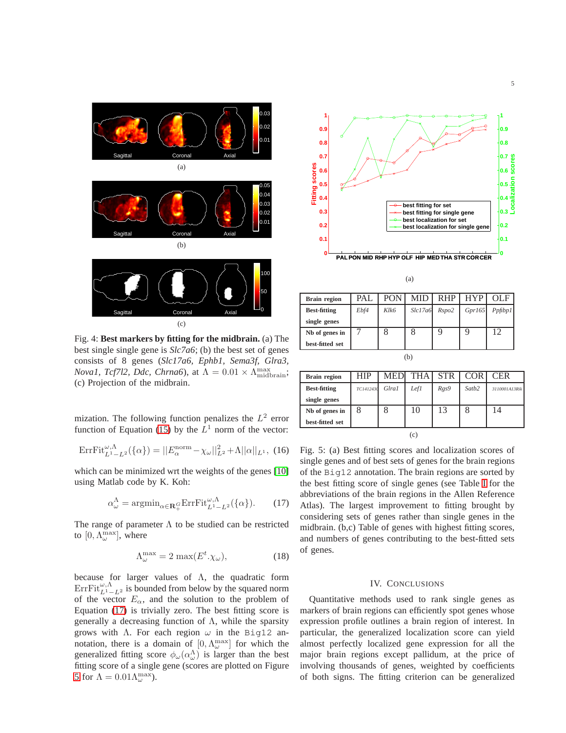

Fig. 4: **Best markers by fitting for the midbrain.** (a) The best single single gene is *Slc7a6*; (b) the best set of genes consists of 8 genes (*Slc17a6, Ephb1, Sema3f, Glra3, Noval, Tcf7l2, Ddc, Chrna6*), at  $\Lambda = 0.01 \times \Lambda_{\text{midbrain}}^{\text{max}}$ ; (c) Projection of the midbrain.

mization. The following function penalizes the  $L^2$  error function of Equation [\(15\)](#page-3-1) by the  $L^1$  norm of the vector:

$$
ErrFit_{L^1 - L^2}^{\omega, \Lambda} (\{\alpha\}) = ||E_{\alpha}^{norm} - \chi_{\omega}||_{L^2}^2 + \Lambda ||\alpha||_{L^1}, \tag{16}
$$

which can be minimized wrt the weights of the genes [\[10\]](#page-5-7) using Matlab code by K. Koh:

<span id="page-4-1"></span>
$$
\alpha_{\omega}^{\Lambda} = \operatorname{argmin}_{\alpha \in \mathbf{R}_{+}^{G}} \text{ErrFit}_{L^{1}-L^{2}}^{\omega, \Lambda}(\{\alpha\}).
$$
 (17)

The range of parameter  $\Lambda$  to be studied can be restricted to  $[0, \Lambda_{\omega}^{\max}]$ , where

$$
\Lambda_{\omega}^{\max} = 2 \max(E^t \cdot \chi_{\omega}), \tag{18}
$$

because for larger values of  $\Lambda$ , the quadratic form  $\mathrm{ErrFit}_{L^1-L^2}^{\omega,\Lambda}$  is bounded from below by the squared norm of the vector  $E_\alpha$ , and the solution to the problem of Equation [\(17\)](#page-4-1) is trivially zero. The best fitting score is generally a decreasing function of  $\Lambda$ , while the sparsity grows with  $\Lambda$ . For each region  $\omega$  in the Big12 annotation, there is a domain of  $[0, \Lambda_{\omega}^{\max}]$  for which the generalized fitting score  $\phi_{\omega}(\alpha^{\Lambda}_{\omega})$  is larger than the best fitting score of a single gene (scores are plotted on Figure [5](#page-4-0) for  $\Lambda = 0.01 \Lambda_{\omega}^{\max}$ ).

<span id="page-4-0"></span>

(a)

| <b>Brain region</b> | PAL  | <b>PON</b>       | MID     | <b>RHP</b> | <b>HYP</b> | OLF     |
|---------------------|------|------------------|---------|------------|------------|---------|
| <b>Best-fitting</b> | Ebf4 | $K$ <i>k</i> $6$ | Slc17a6 | Rspo2      | Gpr165     | Ppfilp1 |
| single genes        |      |                  |         |            |            |         |
| Nb of genes in      |      |                  |         |            |            | 12      |
| best-fitted set     |      |                  |         |            |            |         |
| (b.                 |      |                  |         |            |            |         |

| <b>Brain region</b> | HIP       | MED   | <b>THA</b> | <b>STR</b> | <b>COR</b> | <b>CER</b>    |
|---------------------|-----------|-------|------------|------------|------------|---------------|
| <b>Best-fitting</b> | TC1412430 | Glra1 | Lefl       | Rgs9       | Satb2      | 3110001A13Rik |
| single genes        |           |       |            |            |            |               |
| Nb of genes in      |           |       | 10         | 13         | 8          | 14            |
| best-fitted set     |           |       |            |            |            |               |
| (c)                 |           |       |            |            |            |               |

Fig. 5: (a) Best fitting scores and localization scores of single genes and of best sets of genes for the brain regions of the Big12 annotation. The brain regions are sorted by the best fitting score of single genes (see Table [I](#page-2-0) for the abbreviations of the brain regions in the Allen Reference Atlas). The largest improvement to fitting brought by considering sets of genes rather than single genes in the midbrain. (b,c) Table of genes with highest fitting scores, and numbers of genes contributing to the best-fitted sets of genes.

#### IV. CONCLUSIONS

Quantitative methods used to rank single genes as markers of brain regions can efficiently spot genes whose expression profile outlines a brain region of interest. In particular, the generalized localization score can yield almost perfectly localized gene expression for all the major brain regions except pallidum, at the price of involving thousands of genes, weighted by coefficients of both signs. The fitting criterion can be generalized